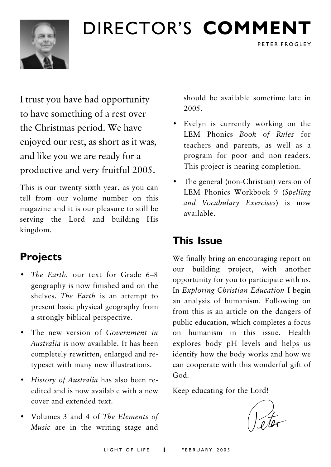

## DIRECTOR'S COMMENT

I trust you have had opportunity to have something of a rest over the Christmas period. We have enjoyed our rest, as short as it was, and like you we are ready for a productive and very fruitful 2005.

This is our twenty-sixth year, as you can tell from our volume number on this magazine and it is our pleasure to still be serving the Lord and building His kingdom.

## **Projects**

- · The Earth, our text for Grade 6-8 geography is now finished and on the shelves. The Earth is an attempt to present basic physical geography from a strongly biblical perspective.
- The new version of Government in Australia is now available. It has been completely rewritten, enlarged and retypeset with many new illustrations.
- History of Australia has also been reedited and is now available with a new cover and extended text
- Volumes 3 and 4 of The Elements of Music are in the writing stage and

should be available sometime late in 2005

PETER FROGLEY

- Evelyn is currently working on the LEM Phonics Book of Rules for teachers and parents, as well as a program for poor and non-readers. This project is nearing completion.
- The general (non-Christian) version of LEM Phonics Workbook 9 (Spelling and Vocabulary Exercises) is now available

## **This Issue**

We finally bring an encouraging report on our building project, with another opportunity for you to participate with us. In Exploring Christian Education I begin an analysis of humanism. Following on from this is an article on the dangers of public education, which completes a focus on humanism in this issue. Health explores body pH levels and helps us identify how the body works and how we can cooperate with this wonderful gift of God.

Keep educating for the Lord!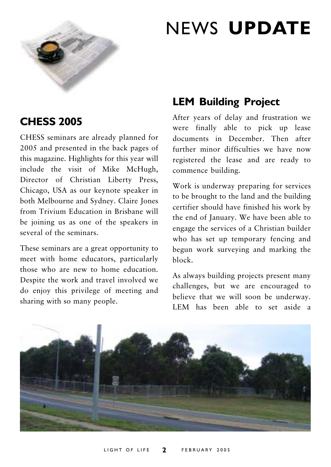

## **NEWS UPDATE**

### **CHESS 2005**

CHESS seminars are already planned for 2005 and presented in the back pages of this magazine. Highlights for this year will include the visit of Mike McHugh, Director of Christian Liberty Press, Chicago, USA as our keynote speaker in both Melbourne and Sydney. Claire Jones from Trivium Education in Brisbane will be joining us as one of the speakers in several of the seminars

These seminars are a great opportunity to meet with home educators, particularly those who are new to home education Despite the work and travel involved we do enjoy this privilege of meeting and sharing with so many people.

### **LEM Building Project**

After years of delay and frustration we were finally able to pick up lease documents in December. Then after further minor difficulties we have now registered the lease and are ready to commence building.

Work is underway preparing for services to be brought to the land and the building certifier should have finished his work by the end of January. We have been able to engage the services of a Christian builder who has set up temporary fencing and begun work surveying and marking the  $h$ lock

As always building projects present many challenges, but we are encouraged to believe that we will soon be underway. LEM has been able to set aside a

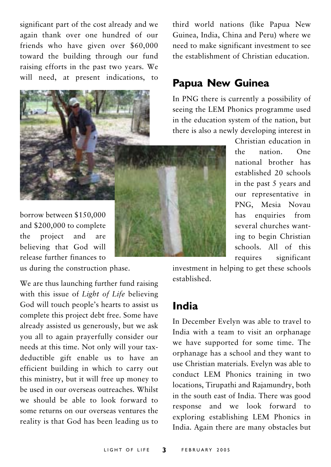significant part of the cost already and we again thank over one hundred of our friends who have given over \$60,000 toward the building through our fund raising efforts in the past two years. We will need, at present indications, to



borrow between \$150,000 and \$200,000 to complete project and are the believing that God will release further finances to

us during the construction phase.

We are thus launching further fund raising with this issue of Light of Life believing God will touch people's hearts to assist us complete this project debt free. Some have already assisted us generously, but we ask you all to again prayerfully consider our needs at this time. Not only will your taxdeductible gift enable us to have an efficient building in which to carry out this ministry, but it will free up money to be used in our overseas outreaches. Whilst we should be able to look forward to some returns on our overseas ventures the reality is that God has been leading us to third world nations (like Papua New Guinea, India, China and Peru) where we need to make significant investment to see the establishment of Christian education.

### **Papua New Guinea**

In PNG there is currently a possibility of seeing the LEM Phonics programme used in the education system of the nation, but there is also a newly developing interest in

> Christian education in  $the$ nation  $One$ national brother has established 20 schools in the past 5 years and our representative in PNG. Mesia Novau has enquiries from several churches wanting to begin Christian schools. All of this requires significant

investment in helping to get these schools established

## India

In December Evelyn was able to travel to India with a team to visit an orphanage we have supported for some time. The orphanage has a school and they want to use Christian materials. Evelyn was able to conduct LEM Phonics training in two locations, Tirupathi and Rajamundry, both in the south east of India. There was good response and we look forward to exploring establishing LEM Phonics in India. Again there are many obstacles but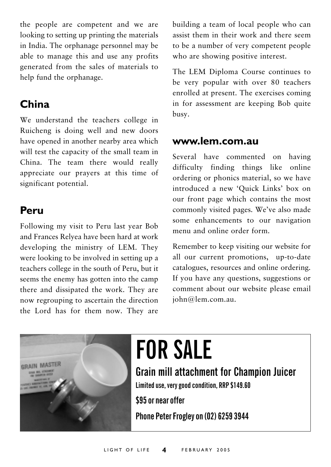the people are competent and we are looking to setting up printing the materials in India. The orphanage personnel may be able to manage this and use any profits generated from the sales of materials to help fund the orphanage.

## China

We understand the teachers college in Ruicheng is doing well and new doors have opened in another nearby area which will test the capacity of the small team in China. The team there would really appreciate our prayers at this time of significant potential.

### Peru

Following my visit to Peru last year Bob and Frances Relyea have been hard at work developing the ministry of LEM. They were looking to be involved in setting up a teachers college in the south of Peru, but it seems the enemy has gotten into the camp there and dissipated the work. They are now regrouping to ascertain the direction the Lord has for them now. They are

building a team of local people who can assist them in their work and there seem to be a number of very competent people who are showing positive interest.

The LEM Diploma Course continues to be very popular with over 80 teachers enrolled at present. The exercises coming in for assessment are keeping Bob quite busy.

### www.lem.com.au

Several have commented on having difficulty finding things like online ordering or phonics material, so we have introduced a new 'Quick Links' box on our front page which contains the most commonly visited pages. We've also made some enhancements to our navigation menu and online order form.

Remember to keep visiting our website for all our current promotions, up-to-date catalogues, resources and online ordering. If you have any questions, suggestions or comment about our website please email john@lem.com.au.



# **FOR SALE**

**Grain mill attachment for Champion Juicer** 

Limited use, very good condition, RRP \$149.60

\$95 or near offer

Phone Peter Frogley on (02) 6259 3944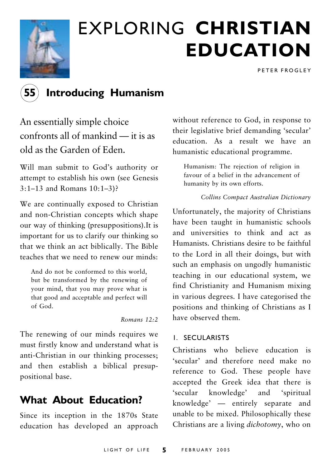

## **EXPLORING CHRISTIAN EDUCATION**

PETER FROGLEY

## **Introducing Humanism**

An essentially simple choice confronts all of mankind — it is as old as the Garden of Eden.

Will man submit to God's authority or attempt to establish his own (see Genesis  $3:1-13$  and Romans  $10:1-3$ ?

We are continually exposed to Christian and non-Christian concepts which shape our way of thinking (presuppositions). It is important for us to clarify our thinking so that we think an act biblically. The Bible teaches that we need to renew our minds.

And do not be conformed to this world. but be transformed by the renewing of your mind, that you may prove what is that good and acceptable and perfect will of God.

Romans  $12:2$ 

The renewing of our minds requires we must firstly know and understand what is anti-Christian in our thinking processes; and then establish a biblical presuppositional base.

### **What About Education?**

Since its inception in the 1870s State education has developed an approach without reference to God, in response to their legislative brief demanding 'secular' education. As a result we have an humanistic educational programme.

Humanism: The rejection of religion in favour of a belief in the advancement of humanity by its own efforts.

#### Collins Compact Australian Dictionary

Unfortunately, the majority of Christians have been taught in humanistic schools and universities to think and act as Humanists Christians desire to be faithful to the Lord in all their doings, but with such an emphasis on ungodly humanistic teaching in our educational system, we find Christianity and Humanism mixing in various degrees. I have categorised the positions and thinking of Christians as I have observed them

#### **I. SECULARISTS**

Christians who believe education is 'secular' and therefore need make no reference to God. These people have accepted the Greek idea that there is 'secular knowledge' and 'spiritual knowledge' — entirely separate and unable to be mixed. Philosophically these Christians are a living *dichotomy*, who on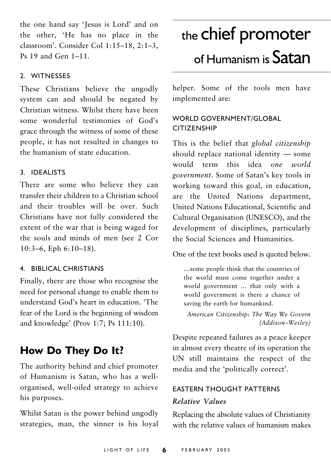the one hand say 'Jesus is Lord' and on the other, 'He has no place in the classroom'. Consider Col 1:15-18, 2:1-3, Ps 19 and Gen 1-11.

#### 2 WITNESSES

These Christians believe the ungodly system can and should be negated by Christian witness Whilst there have been some wonderful testimonies of God's grace through the witness of some of these people, it has not resulted in changes to the humanism of state education

#### 3. IDEALISTS

There are some who believe they can transfer their children to a Christian school and their troubles will be over. Such Christians have not fully considered the extent of the war that is being waged for the souls and minds of men (see 2 Cor  $10:3-6$ , Eph  $6:10-18$ ).

#### 4. BIBLICAL CHRISTIANS

Finally, there are those who recognise the need for personal change to enable them to understand God's heart in education 'The fear of the Lord is the beginning of wisdom and knowledge' (Prov 1:7; Ps 111:10).

## How Do They Do It?

The authority behind and chief promoter of Humanism is Satan, who has a wellorganised, well-oiled strategy to achieve his purposes.

Whilst Satan is the power behind ungodly strategies, man, the sinner is his loyal

## the chief promoter of Humanism is Satan

helper. Some of the tools men have implemented are:

#### WORLD GOVERNMENT/GLOBAL **CITIZENSHIP**

This is the belief that global citizenship should replace national identity  $-$  some would term this idea one world government. Some of Satan's key tools in working toward this goal, in education, are the United Nations department, United Nations Educational, Scientific and Cultural Organisation (UNESCO), and the development of disciplines, particularly the Social Sciences and Humanities

One of the text books used is quoted below.

...some people think that the countries of the world must come together under a world government ... that only with a world government is there a chance of saving the earth for humankind.

American Citizenship: The Way We Govern (Addison-Wesley)

Despite repeated failures as a peace keeper in almost every theatre of its operation the UN still maintains the respect of the media and the 'politically correct'.

#### **EASTERN THOUGHT PATTERNS** Relative Values

Replacing the absolute values of Christianity with the relative values of humanism makes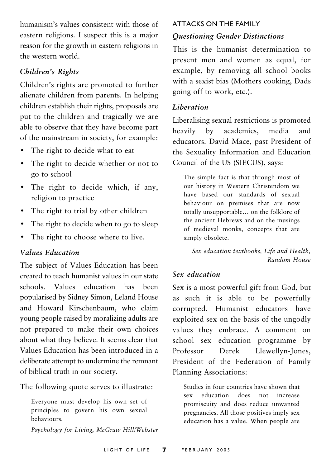humanism's values consistent with those of eastern religions. I suspect this is a major reason for the growth in eastern religions in the western world.

#### Children's Rights

Children's rights are promoted to further alienate children from parents. In helping children establish their rights, proposals are put to the children and tragically we are able to observe that they have become part of the mainstream in society, for example:

- The right to decide what to eat
- The right to decide whether or not to go to school
- · The right to decide which, if any, religion to practice
- The right to trial by other children
- The right to decide when to go to sleep
- The right to choose where to live.

#### **Values Education**

The subject of Values Education has been created to teach humanist values in our state schools Values education has been popularised by Sidney Simon, Leland House and Howard Kirschenbaum, who claim young people raised by moralizing adults are not prepared to make their own choices about what they believe. It seems clear that Values Education has been introduced in a deliberate attempt to undermine the remnant of biblical truth in our society.

The following quote serves to illustrate:

Everyone must develop his own set of principles to govern his own sexual behaviours.

Psychology for Living, McGraw Hill/Webster

#### **ATTACKS ON THE FAMILY**

#### **Ouestioning Gender Distinctions**

This is the humanist determination to present men and women as equal, for example, by removing all school books with a sexist bias (Mothers cooking, Dads going off to work, etc.).

#### Liberation

Liberalising sexual restrictions is promoted heavily by academics, media and educators. David Mace, past President of the Sexuality Information and Education Council of the US (SIECUS), says:

The simple fact is that through most of our history in Western Christendom we have based our standards of sexual behaviour on premises that are now totally unsupportable... on the folklore of the ancient Hebrews and on the musings of medieval monks, concepts that are simply obsolete.

Sex education textbooks, Life and Health, Random House

#### Sex education

Sex is a most powerful gift from God, but as such it is able to be powerfully corrupted. Humanist educators have exploited sex on the basis of the ungodly values they embrace. A comment on school sex education programme by Professor Derek Llewellyn-Jones, President of the Federation of Family Planning Associations:

Studies in four countries have shown that education does not increase sex promiscuity and does reduce unwanted pregnancies. All those positives imply sex education has a value. When people are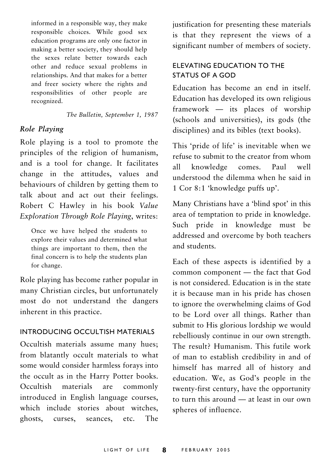informed in a responsible way, they make responsible choices. While good sex education programs are only one factor in making a better society, they should help the sexes relate better towards each other and reduce sexual problems in relationships. And that makes for a better and freer society where the rights and responsibilities of other people are recognized.

The Bulletin, September 1, 1987

#### Role Playing

Role playing is a tool to promote the principles of the religion of humanism, and is a tool for change. It facilitates change in the attitudes, values and behaviours of children by getting them to talk about and act out their feelings. Robert C Hawley in his book Value Exploration Through Role Playing, writes:

Once we have helped the students to explore their values and determined what things are important to them, then the final concern is to help the students plan for change.

Role playing has become rather popular in many Christian circles, but unfortunately most do not understand the dangers inherent in this practice.

#### INTRODUCING OCCULTISH MATERIALS

Occultish materials assume many hues; from blatantly occult materials to what some would consider harmless forays into the occult as in the Harry Potter books. materials Occultish are commonly introduced in English language courses, which include stories about witches. ghosts, curses, seances, etc. The justification for presenting these materials is that they represent the views of a significant number of members of society.

#### ELEVATING EDUCATION TO THE STATUS OF A GOD

Education has become an end in itself. Education has developed its own religious framework — its places of worship (schools and universities), its gods (the disciplines) and its bibles (text books).

This 'pride of life' is inevitable when we refuse to submit to the creator from whom knowledge  $comes$  $Paul$  $w<sub>e</sub>11$  $a11$ understood the dilemma when he said in 1 Cor 8:1 'knowledge puffs up'.

Many Christians have a 'blind spot' in this area of temptation to pride in knowledge. Such pride in knowledge must be addressed and overcome by both teachers and students.

Each of these aspects is identified by a common component - the fact that God is not considered. Education is in the state it is because man in his pride has chosen to ignore the overwhelming claims of God to be Lord over all things. Rather than submit to His glorious lordship we would rebelliously continue in our own strength. The result? Humanism This futile work of man to establish credibility in and of himself has marred all of history and education. We, as God's people in the twenty-first century, have the opportunity to turn this around — at least in our own spheres of influence.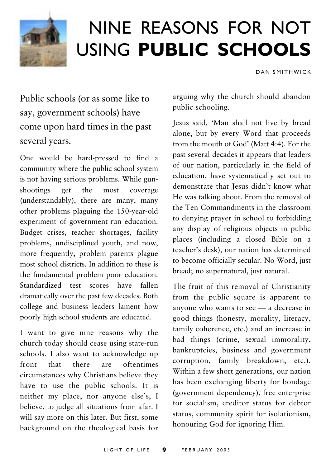

## NINE REASONS FOR NOT USING PUBLIC SCHOOLS

DAN SMITHWICK

Public schools (or as some like to say, government schools) have come upon hard times in the past several years.

One would be hard-pressed to find a community where the public school system is not having serious problems. While gunshootings  $get$  $the$ coverage  $most$ (understandably), there are many, many other problems plaguing the 150-year-old experiment of government-run education. Budget crises, teacher shortages, facility problems, undisciplined youth, and now, more frequently, problem parents plague most school districts. In addition to these is the fundamental problem poor education. Standardized test scores have fallen dramatically over the past few decades. Both college and business leaders lament how poorly high school students are educated.

I want to give nine reasons why the church today should cease using state-run schools. I also want to acknowledge up front that there are oftentimes circumstances why Christians believe they have to use the public schools. It is neither my place, nor anyone else's, I believe, to judge all situations from afar. I will say more on this later. But first, some background on the theological basis for arguing why the church should abandon public schooling.

Jesus said, 'Man shall not live by bread alone, but by every Word that proceeds from the mouth of God' (Matt 4:4). For the past several decades it appears that leaders of our nation, particularly in the field of education, have systematically set out to demonstrate that Jesus didn't know what He was talking about. From the removal of the Ten Commandments in the classroom to denving prayer in school to forbidding any display of religious objects in public places (including a closed Bible on a teacher's desk), our nation has determined to become officially secular. No Word, just bread; no supernatural, just natural.

The fruit of this removal of Christianity from the public square is apparent to anyone who wants to see - a decrease in good things (honesty, morality, literacy, family coherence, etc.) and an increase in bad things (crime, sexual immorality, bankruptcies, business and government corruption, family breakdown, etc.). Within a few short generations, our nation has been exchanging liberty for bondage (government dependency), free enterprise for socialism, creditor status for debtor status, community spirit for isolationism, honouring God for ignoring Him.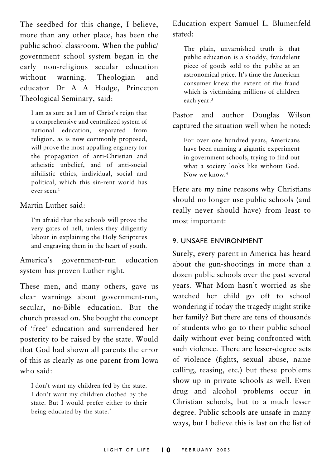The seedbed for this change, I believe, more than any other place, has been the public school classroom. When the public/ government school system began in the early non-religious secular education without warning. Theologian and educator Dr A A Hodge, Princeton Theological Seminary, said:

I am as sure as I am of Christ's reign that a comprehensive and centralized system of national education, separated from religion, as is now commonly proposed, will prove the most appalling enginery for the propagation of anti-Christian and atheistic unbelief, and of anti-social nihilistic ethics, individual, social and political, which this sin-rent world has ever seen.<sup>1</sup>

Martin Luther said:

I'm afraid that the schools will prove the very gates of hell, unless they diligently labour in explaining the Holy Scriptures and engraving them in the heart of youth.

education America's government-run system has proven Luther right.

These men, and many others, gave us clear warnings about government-run, secular, no-Bible education. But the church pressed on. She bought the concept of 'free' education and surrendered her posterity to be raised by the state. Would that God had shown all parents the error of this as clearly as one parent from Iowa who said.

I don't want my children fed by the state. I don't want my children clothed by the state. But I would prefer either to their being educated by the state.<sup>2</sup>

Education expert Samuel L. Blumenfeld stated·

The plain, unvarnished truth is that public education is a shoddy, fraudulent piece of goods sold to the public at an astronomical price. It's time the American consumer knew the extent of the fraud which is victimizing millions of children each year.<sup>3</sup>

and author Wilson Pastor Douglas captured the situation well when he noted:

For over one hundred years, Americans have been running a gigantic experiment in government schools, trying to find out what a society looks like without God. Now we know.<sup>4</sup>

Here are my nine reasons why Christians should no longer use public schools (and really never should have) from least to most important:

#### 9. UNSAFE ENVIRONMENT

Surely, every parent in America has heard about the gun-shootings in more than a dozen public schools over the past several vears. What Mom hasn't worried as she watched her child go off to school wondering if today the tragedy might strike her family? But there are tens of thousands of students who go to their public school daily without ever being confronted with such violence. There are lesser-degree acts of violence (fights, sexual abuse, name calling, teasing, etc.) but these problems show up in private schools as well. Even drug and alcohol problems occur in Christian schools, but to a much lesser degree. Public schools are unsafe in many ways, but I believe this is last on the list of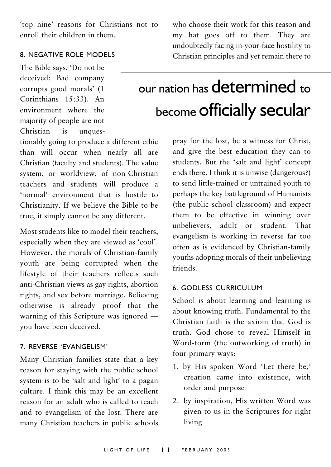'top nine' reasons for Christians not to enroll their children in them.

#### **8. NEGATIVE ROLE MODELS**

The Bible says, 'Do not be deceived: Bad company corrupts good morals' (1 Corinthians 15:33). An environment where the majority of people are not Christian is unques-

tionably going to produce a different ethic than will occur when nearly all are Christian (faculty and students). The value system, or worldview, of non-Christian teachers and students will produce a 'normal' environment that is hostile to Christianity. If we believe the Bible to be true, it simply cannot be any different.

Most students like to model their teachers. especially when they are viewed as 'cool'. However, the morals of Christian-family youth are being corrupted when the lifestyle of their teachers reflects such anti-Christian views as gay rights, abortion rights, and sex before marriage. Believing otherwise is already proof that the warning of this Scripture was ignored you have been deceived.

#### 7. REVERSE 'EVANGELISM'

Many Christian families state that a key reason for staying with the public school system is to be 'salt and light' to a pagan culture I think this may be an excellent reason for an adult who is called to teach and to evangelism of the lost. There are many Christian teachers in public schools

who choose their work for this reason and my hat goes off to them. They are undoubtedly facing in-your-face hostility to Christian principles and yet remain there to

## our nation has determined to become Officially secular

pray for the lost, be a witness for Christ, and give the best education they can to students. But the 'salt and light' concept ends there. I think it is unwise (dangerous?) to send little-trained or untrained vouth to perhaps the key battleground of Humanists (the public school classroom) and expect them to be effective in winning over unbelievers, adult or student. That evangelism is working in reverse far too often as is evidenced by Christian-family youths adopting morals of their unbelieving friends

#### **6. GODLESS CURRICULUM**

School is about learning and learning is about knowing truth. Fundamental to the Christian faith is the axiom that God is truth God chose to reveal Himself in Word-form (the outworking of truth) in four primary ways:

- 1. by His spoken Word 'Let there be,' creation came into existence, with order and purpose
- 2. by inspiration, His written Word was given to us in the Scriptures for right living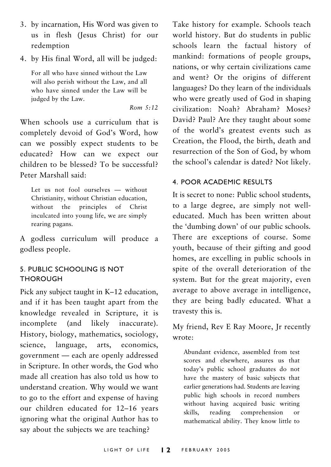- 3. by incarnation, His Word was given to us in flesh (Jesus Christ) for our redemption
- 4. by His final Word, all will be judged:

For all who have sinned without the Law will also perish without the Law, and all who have sinned under the Law will be judged by the Law.

 $Rom \t5:12$ 

When schools use a curriculum that is completely devoid of God's Word, how can we possibly expect students to be educated? How can we expect our children to be blessed? To be successful? Peter Marshall said:

Let us not fool ourselves - without Christianity, without Christian education, without the principles of Christ inculcated into young life, we are simply rearing pagans.

A godless curriculum will produce a godless people.

#### 5. PUBLIC SCHOOLING IS NOT **THOROUGH**

Pick any subject taught in K-12 education, and if it has been taught apart from the knowledge revealed in Scripture, it is incomplete (and likely inaccurate). History, biology, mathematics, sociology, language, arts, economics, science. government - each are openly addressed in Scripture. In other words, the God who made all creation has also told us how to understand creation. Why would we want to go to the effort and expense of having our children educated for 12-16 years ignoring what the original Author has to say about the subjects we are teaching?

Take history for example. Schools teach world history. But do students in public schools learn the factual history of mankind: formations of people groups, nations, or why certain civilizations came and went? Or the origins of different languages? Do they learn of the individuals who were greatly used of God in shaping civilization: Noah? Abraham? Moses? David? Paul? Are they taught about some of the world's greatest events such as Creation, the Flood, the birth, death and resurrection of the Son of God, by whom the school's calendar is dated? Not likely.

#### **4. POOR ACADEMIC RESULTS**

It is secret to none: Public school students, to a large degree, are simply not welleducated. Much has been written about the 'dumbing down' of our public schools. There are exceptions of course. Some youth, because of their gifting and good homes, are excelling in public schools in spite of the overall deterioration of the system. But for the great majority, even average to above average in intelligence, they are being badly educated. What a travesty this is.

My friend, Rev E Ray Moore, Jr recently wrote:

Abundant evidence, assembled from test scores and elsewhere, assures us that today's public school graduates do not have the mastery of basic subjects that earlier generations had. Students are leaving public high schools in record numbers without having acquired basic writing comprehension skills. reading  $\alpha$ r mathematical ability. They know little to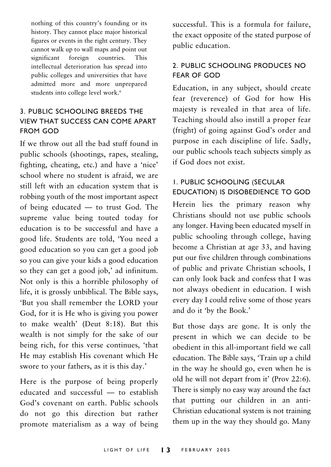nothing of this country's founding or its history. They cannot place major historical figures or events in the right century. They cannot walk up to wall maps and point out foreign countries. significant This intellectual deterioration has spread into public colleges and universities that have admitted more and more unprepared students into college level work.<sup>6</sup>

#### 3. PUBLIC SCHOOLING BREEDS THE **VIEW THAT SUCCESS CAN COME APART FROM GOD**

If we throw out all the bad stuff found in public schools (shootings, rapes, stealing, fighting, cheating, etc.) and have a 'nice' school where no student is afraid, we are still left with an education system that is robbing youth of the most important aspect of being educated - to trust God. The supreme value being touted today for education is to be successful and have a good life. Students are told. 'You need a good education so you can get a good job so you can give your kids a good education so they can get a good job,' ad infinitum. Not only is this a horrible philosophy of life, it is grossly unbiblical. The Bible says, 'But you shall remember the LORD your God, for it is He who is giving you power to make wealth' (Deut 8:18). But this wealth is not simply for the sake of our being rich, for this verse continues, 'that He may establish His covenant which He swore to your fathers, as it is this day.'

Here is the purpose of being properly educated and successful - to establish God's covenant on earth. Public schools do not go this direction but rather promote materialism as a way of being successful. This is a formula for failure. the exact opposite of the stated purpose of public education.

#### 2. PUBLIC SCHOOLING PRODUCES NO **FFAR OF GOD**

Education, in any subject, should create fear (reverence) of God for how His majesty is revealed in that area of life. Teaching should also instill a proper fear (fright) of going against God's order and purpose in each discipline of life. Sadly, our public schools teach subjects simply as if God does not exist.

#### **I. PUBLIC SCHOOLING (SECULAR** EDUCATION) IS DISOBEDIENCE TO GOD

Herein lies the primary reason why Christians should not use public schools any longer. Having been educated myself in public schooling through college, having become a Christian at age 33, and having put our five children through combinations of public and private Christian schools. I can only look back and confess that I was not always obedient in education. I wish every day I could relive some of those years and do it 'by the Book.'

But those days are gone. It is only the present in which we can decide to be obedient in this all-important field we call education. The Bible says, 'Train up a child in the way he should go, even when he is old he will not depart from it' (Prov 22:6). There is simply no easy way around the fact that putting our children in an anti-Christian educational system is not training them up in the way they should go. Many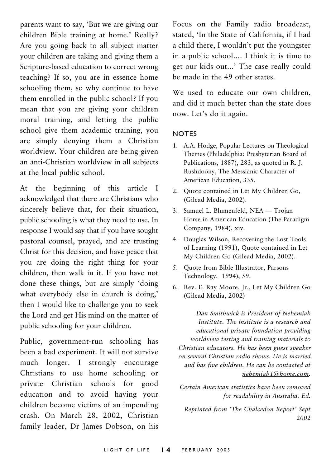parents want to say, 'But we are giving our children Bible training at home.' Really? Are you going back to all subject matter your children are taking and giving them a Scripture-based education to correct wrong teaching? If so, you are in essence home schooling them, so why continue to have them enrolled in the public school? If you mean that you are giving your children moral training, and letting the public school give them academic training, you are simply denying them a Christian worldview. Your children are being given an anti-Christian worldview in all subjects at the local public school.

At the beginning of this article I acknowledged that there are Christians who sincerely believe that, for their situation, public schooling is what they need to use. In response I would say that if you have sought pastoral counsel, prayed, and are trusting Christ for this decision, and have peace that you are doing the right thing for your children, then walk in it. If you have not done these things, but are simply 'doing what everybody else in church is doing,' then I would like to challenge vou to seek the Lord and get His mind on the matter of public schooling for your children.

Public, government-run schooling has been a bad experiment. It will not survive much longer. I strongly encourage Christians to use home schooling or private Christian schools for good education and to avoid having your children become victims of an impending crash. On March 28, 2002, Christian family leader, Dr James Dobson, on his

Focus on the Family radio broadcast. stated. 'In the State of California, if I had a child there. I wouldn't put the voungster in a public school... I think it is time to get our kids out...' The case really could be made in the 49 other states

We used to educate our own children. and did it much better than the state does now. Let's do it again.

#### **NOTES**

- 1. A.A. Hodge, Popular Lectures on Theological Themes (Philadelphia: Presbyterian Board of Publications, 1887), 283, as quoted in R. J. Rushdoony, The Messianic Character of American Education, 335.
- 2. Quote contained in Let My Children Go, (Gilead Media, 2002).
- 3. Samuel L. Blumenfeld, NEA Trojan Horse in American Education (The Paradigm Company, 1984), xiv.
- 4. Douglas Wilson, Recovering the Lost Tools of Learning (1991), Quote contained in Let My Children Go (Gilead Media, 2002).
- 5. Quote from Bible Illustrator, Parsons Technology. 1994), 59.
- 6. Rev. E. Ray Moore, Jr., Let My Children Go (Gilead Media, 2002)

Dan Smithwick is President of Nehemiah Institute. The institute is a research and educational private foundation providing worldview testing and training materials to Christian educators. He has been guest speaker on several Christian radio shows. He is married and has five children. He can be contacted at nehemiah1@home.com.

Certain American statistics have been removed for readability in Australia. Ed.

Reprinted from 'The Chalcedon Report' Sept 2002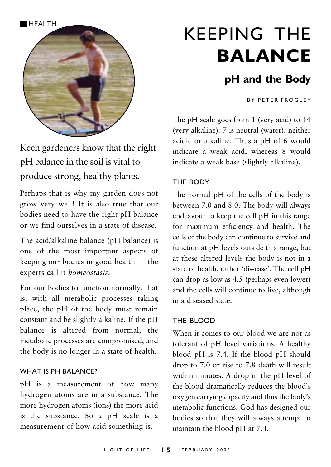

Keen gardeners know that the right pH balance in the soil is vital to produce strong, healthy plants.

Perhaps that is why my garden does not grow very well! It is also true that our bodies need to have the right pH balance or we find ourselves in a state of disease

The acid/alkaline balance (pH balance) is one of the most important aspects of keeping our bodies in good health — the experts call it homeostasis.

For our bodies to function normally, that is, with all metabolic processes taking place, the pH of the body must remain constant and be slightly alkaline. If the pH balance is altered from normal, the metabolic processes are compromised, and the body is no longer in a state of health.

#### **WHAT IS PH BALANCE?**

pH is a measurement of how many hydrogen atoms are in a substance. The more hydrogen atoms (ions) the more acid is the substance. So a pH scale is a measurement of how acid something is.

## **KEEPING THE BALANCE**

## pH and the Body

**RY PETER FROGLEY** 

The pH scale goes from 1 (very acid) to 14 (very alkaline). 7 is neutral (water), neither acidic or alkaline. Thus a pH of 6 would indicate a weak acid, whereas 8 would indicate a weak base (slightly alkaline).

#### THE RODY

The normal pH of the cells of the body is between 7.0 and 8.0. The body will always endeavour to keep the cell pH in this range for maximum efficiency and health. The cells of the body can continue to survive and function at pH levels outside this range, but at these altered levels the body is not in a state of health, rather 'dis-ease'. The cell pH can drop as low as 4.5 (perhaps even lower) and the cells will continue to live, although in a diseased state

#### THE BLOOD

When it comes to our blood we are not as tolerant of pH level variations. A healthy blood pH is 7.4. If the blood pH should drop to 7.0 or rise to 7.8 death will result within minutes. A drop in the pH level of the blood dramatically reduces the blood's oxygen carrying capacity and thus the body's metabolic functions. God has designed our bodies so that they will always attempt to maintain the blood pH at 7.4.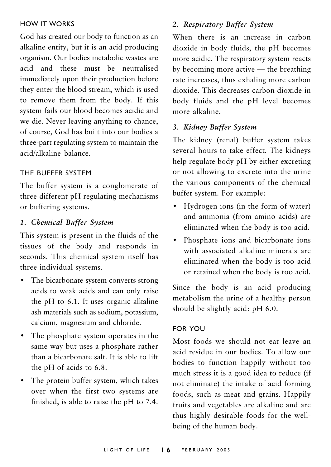#### **HOW IT WORKS**

God has created our body to function as an alkaline entity, but it is an acid producing organism. Our bodies metabolic wastes are acid and these must be neutralised immediately upon their production before they enter the blood stream, which is used to remove them from the body. If this system fails our blood becomes acidic and we die. Never leaving anything to chance, of course, God has built into our bodies a three-part regulating system to maintain the acid/alkaline balance.

#### THE BUFFER SYSTEM

The buffer system is a conglomerate of three different pH regulating mechanisms or buffering systems.

#### 1. Chemical Buffer System

This system is present in the fluids of the tissues of the body and responds in seconds. This chemical system itself has three individual systems.

- The bicarbonate system converts strong acids to weak acids and can only raise the pH to 6.1. It uses organic alkaline ash materials such as sodium, potassium, calcium, magnesium and chloride.
- The phosphate system operates in the same way but uses a phosphate rather than a bicarbonate salt. It is able to lift the pH of acids to 6.8.
- The protein buffer system, which takes over when the first two systems are finished, is able to raise the pH to 7.4.

#### 2. Respiratory Buffer System

When there is an increase in carbon dioxide in body fluids, the pH becomes more acidic. The respiratory system reacts by becoming more active  $-$  the breathing rate increases, thus exhaling more carbon dioxide. This decreases carbon dioxide in body fluids and the pH level becomes more alkaline

#### 3. Kidney Buffer System

The kidney (renal) buffer system takes several hours to take effect. The kidneys help regulate body pH by either excreting or not allowing to excrete into the urine the various components of the chemical buffer system. For example:

- Hydrogen ions (in the form of water) and ammonia (from amino acids) are eliminated when the body is too acid.
- Phosphate ions and bicarbonate ions with associated alkaline minerals are eliminated when the body is too acid or retained when the body is too acid.

Since the body is an acid producing metabolism the urine of a healthy person should be slightly acid: pH 6.0.

#### **FOR YOU**

Most foods we should not eat leave an acid residue in our bodies. To allow our bodies to function happily without too much stress it is a good idea to reduce (if not eliminate) the intake of acid forming foods, such as meat and grains. Happily fruits and vegetables are alkaline and are thus highly desirable foods for the wellbeing of the human body.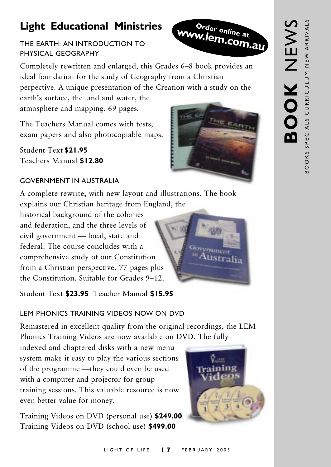## **Light Educational Ministries**

#### THE EARTH: AN INTRODUCTION TO PHYSICAL GEOGRAPHY

Completely rewritten and enlarged, this Grades 6–8 book provides an ideal foundation for the study of Geography from a Christian perpective. A unique presentation of the Creation with a study on the

earth's surface, the land and water, the atmosphere and mapping. 69 pages.

The Teachers Manual comes with tests. exam papers and also photocopiable maps.

Student Text \$21.95 Teachers Manual \$12.80

#### **GOVERNMENT IN ALISTRALIA**

A complete rewrite, with new layout and illustrations. The book explains our Christian heritage from England, the

historical background of the colonies and federation, and the three levels of civil government - local, state and federal. The course concludes with a comprehensive study of our Constitution from a Christian perspective. 77 pages plus the Constitution. Suitable for Grades 9-12.

Student Text \$23.95 Teacher Manual \$15.95

### **LEM PHONICS TRAINING VIDEOS NOW ON DVD**

Remastered in excellent quality from the original recordings, the LEM Phonics Training Videos are now available on DVD. The fully

indexed and chaptered disks with a new menu system make it easy to play the various sections of the programme -they could even be used with a computer and projector for group training sessions. This valuable resource is now even better value for money.

Training Videos on DVD (personal use) \$249.00 Training Videos on DVD (school use) \$499.00







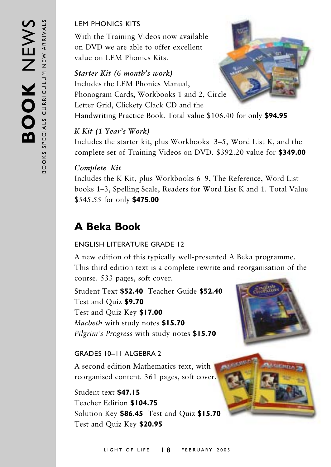#### **I FM PHONICS KITS**

With the Training Videos now available on DVD we are able to offer excellent value on I FM Phonics Kits

#### Starter Kit (6 month's work)

Includes the LEM Phonics Manual, Phonogram Cards, Workbooks 1 and 2, Circle Letter Grid, Clickety Clack CD and the Handwriting Practice Book. Total value \$106.40 for only \$94.95

#### K Kit (1 Year's Work)

Includes the starter kit, plus Workbooks 3–5, Word List K, and the complete set of Training Videos on DVD. \$392.20 value for \$349.00

#### Complete Kit

Includes the K Kit, plus Workbooks 6–9, The Reference, Word List books 1–3, Spelling Scale, Readers for Word List K and 1. Total Value \$545.55 for only \$475.00

## **A Beka Book**

#### **ENGLISH LITERATURE GRADE 12**

A new edition of this typically well-presented A Beka programme. This third edition text is a complete rewrite and reorganisation of the course. 533 pages, soft cover.

Student Text \$52.40 Teacher Guide \$52.40 Test and Quiz \$9.70 Test and Quiz Key \$17.00 Macbeth with study notes \$15.70 Pilgrim's Progress with study notes \$15.70

#### GRADES 10-11 ALGEBRA 2

A second edition Mathematics text, with reorganised content. 361 pages, soft cover.

Student text \$47.15 Teacher Edition \$104.75 Solution Key \$86.45 Test and Quiz \$15.70 Test and Quiz Key \$20.95

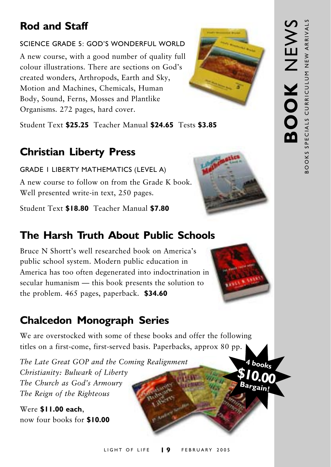## **Rod and Staff**

#### SCIENCE GRADE 5: GOD'S WONDERFUL WORLD

A new course, with a good number of quality full colour illustrations. There are sections on God's created wonders, Arthropods, Earth and Sky, Motion and Machines, Chemicals, Human Body, Sound, Ferns, Mosses and Plantlike Organisms. 272 pages, hard cover.



Student Text \$25.25 Teacher Manual \$24.65 Tests \$3.85

## **Christian Liberty Press**

**GRADE I LIBERTY MATHEMATICS (LEVEL A)** A new course to follow on from the Grade K book. Well presented write-in text, 250 pages.

Student Text \$18.80 Teacher Manual \$7.80

## The Harsh Truth About Public Schools

Bruce N Shortt's well researched book on America's public school system. Modern public education in America has too often degenerated into indoctrination in secular humanism — this book presents the solution to the problem. 465 pages, paperback. \$34.60

## **Chalcedon Monograph Series**

We are overstocked with some of these books and offer the following titles on a first-come, first-served basis. Paperbacks, approx 80 pp.

The Late Great GOP and the Coming Realignment Christianity: Bulwark of Liberty The Church as God's Armoury The Reign of the Righteous

Were \$11.00 each. now four books for \$10.00





4 books

Bargain!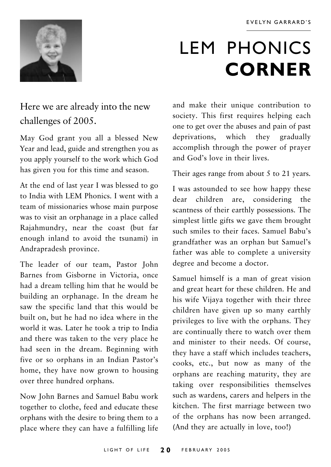

## **LEM PHONICS CORNER**

## Here we are already into the new challenges of 2005.

May God grant you all a blessed New Year and lead, guide and strengthen you as you apply yourself to the work which God has given you for this time and season.

At the end of last year I was blessed to go to India with LEM Phonics. I went with a team of missionaries whose main purpose was to visit an orphanage in a place called Rajahmundry, near the coast (but far enough inland to avoid the tsunami) in Andrapradesh province.

The leader of our team, Pastor John Barnes from Gisborne in Victoria, once had a dream telling him that he would be building an orphanage. In the dream he saw the specific land that this would be built on, but he had no idea where in the world it was. Later he took a trip to India and there was taken to the very place he had seen in the dream. Beginning with five or so orphans in an Indian Pastor's home, they have now grown to housing over three hundred orphans.

Now John Barnes and Samuel Babu work together to clothe, feed and educate these orphans with the desire to bring them to a place where they can have a fulfilling life and make their unique contribution to society. This first requires helping each one to get over the abuses and pain of past deprivations, which they gradually accomplish through the power of prayer and God's love in their lives.

Their ages range from about 5 to 21 years.

I was astounded to see how happy these children are, considering dear the scantness of their earthly possessions. The simplest little gifts we gave them brought such smiles to their faces. Samuel Babu's grandfather was an orphan but Samuel's father was able to complete a university degree and become a doctor.

Samuel himself is a man of great vision and great heart for these children. He and his wife Vijaya together with their three children have given up so many earthly privileges to live with the orphans. They are continually there to watch over them and minister to their needs. Of course, they have a staff which includes teachers. cooks, etc., but now as many of the orphans are reaching maturity, they are taking over responsibilities themselves such as wardens, carers and helpers in the kitchen. The first marriage between two of the orphans has now been arranged. (And they are actually in love, too!)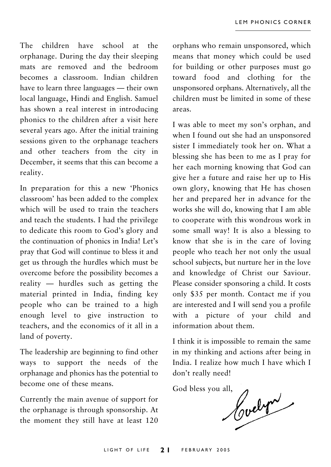The children have school at the orphanage. During the day their sleeping mats are removed and the bedroom becomes a classroom. Indian children have to learn three languages — their own local language, Hindi and English. Samuel has shown a real interest in introducing phonics to the children after a visit here several years ago. After the initial training sessions given to the orphanage teachers and other teachers from the city in December, it seems that this can become a reality.

In preparation for this a new 'Phonics classroom' has been added to the complex which will be used to train the teachers and teach the students. I had the privilege to dedicate this room to God's glory and the continuation of phonics in India! Let's pray that God will continue to bless it and get us through the hurdles which must be overcome before the possibility becomes a reality — hurdles such as getting the material printed in India, finding key people who can be trained to a high enough level to give instruction to teachers, and the economics of it all in a land of poverty.

The leadership are beginning to find other ways to support the needs of the orphanage and phonics has the potential to become one of these means.

Currently the main avenue of support for the orphanage is through sponsorship. At the moment they still have at least 120 orphans who remain unsponsored, which means that money which could be used for building or other purposes must go toward food and clothing for the unsponsored orphans. Alternatively, all the children must be limited in some of these areas.

I was able to meet my son's orphan, and when I found out she had an unsponsored sister I immediately took her on. What a blessing she has been to me as I pray for her each morning knowing that God can give her a future and raise her up to His own glory, knowing that He has chosen her and prepared her in advance for the works she will do, knowing that I am able to cooperate with this wondrous work in some small way! It is also a blessing to know that she is in the care of loving people who teach her not only the usual school subjects, but nurture her in the love and knowledge of Christ our Saviour. Please consider sponsoring a child. It costs only \$35 per month. Contact me if you are interested and I will send you a profile with a picture of your child and information about them

I think it is impossible to remain the same in my thinking and actions after being in India. I realize how much I have which I don't really need!

God bless you all,

Hoelyn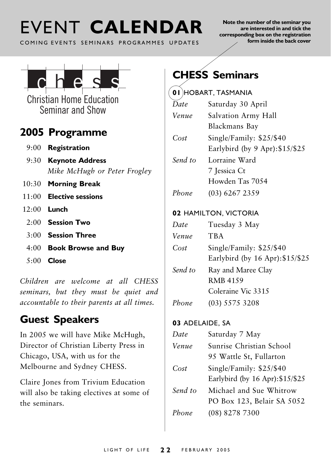## FVENT CALENDAR

COMING EVENTS SEMINARS PROGRAMMES UPDATES

Note the number of the seminar you are interested in and tick the corresponding box on the registration form inside the back cover



**Christian Home Education** Seminar and Show

### 2005 Programme

- $9:00$  Registration
- 9:30 Keynote Address Mike McHugh or Peter Frogley
- 10:30 Morning Break
- $11:00$  Elective sessions
- $12:00$  Lunch
	- $2.00$  Session Two
	- $3.00$  Session Three
	- 4:00 Book Browse and Buy
	- $5:00$  Close

Children are welcome at all CHESS seminars, but they must be quiet and accountable to their parents at all times.

## **Guest Speakers**

In 2005 we will have Mike McHugh, Director of Christian Liberty Press in Chicago, USA, with us for the Melbourne and Sydney CHESS.

Claire Jones from Trivium Education will also be taking electives at some of the seminars.

## **CHESS Seminars**

#### $(n)$  LARART TASMANIA

| Date    | Saturday 30 April                |  |  |  |  |
|---------|----------------------------------|--|--|--|--|
| Venue   | Salvation Army Hall              |  |  |  |  |
|         | Blackmans Bay                    |  |  |  |  |
| Cost    | Single/Family: \$25/\$40         |  |  |  |  |
|         | Earlybird (by 9 Apr): $$15/\$25$ |  |  |  |  |
| Send to | Lorraine Ward                    |  |  |  |  |
|         | 7 Jessica Ct                     |  |  |  |  |
|         | Howden Tas 7054                  |  |  |  |  |
| Phone   | $(03)$ 6267 2359                 |  |  |  |  |
|         | 02 HAMILTON, VICTORIA            |  |  |  |  |
| Date    | Tuesday 3 May                    |  |  |  |  |
| Venue   | <b>TBA</b>                       |  |  |  |  |
| Cost    | Single/Family: $$25/$40$         |  |  |  |  |
|         | Earlybird (by 16 Apr): \$15/\$25 |  |  |  |  |
| Send to | Ray and Maree Clay               |  |  |  |  |
|         | <b>RMB 4159</b>                  |  |  |  |  |
|         | Coleraine Vic 3315               |  |  |  |  |
| Phone   | (03) 5575 3208                   |  |  |  |  |

#### 03 ADELAIDE, SA

| Date    | Saturday 7 May                   |  |  |  |  |  |
|---------|----------------------------------|--|--|--|--|--|
| Venue   | Sunrise Christian School         |  |  |  |  |  |
|         | 95 Wattle St, Fullarton          |  |  |  |  |  |
| Cost    | Single/Family: \$25/\$40         |  |  |  |  |  |
|         | Earlybird (by 16 Apr): \$15/\$25 |  |  |  |  |  |
| Send to | Michael and Sue Whitrow          |  |  |  |  |  |
|         | PO Box 123, Belair SA 5052       |  |  |  |  |  |
| Phone   | $(08)$ 8278 7300                 |  |  |  |  |  |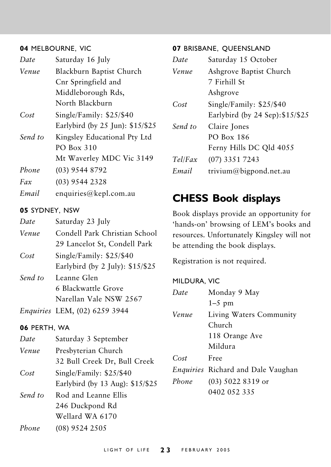#### 04 MELBOURNE, VIC

| Date    | Saturday 16 July                 |  |  |  |  |
|---------|----------------------------------|--|--|--|--|
| Venue   | Blackburn Baptist Church         |  |  |  |  |
|         | Cnr Springfield and              |  |  |  |  |
|         | Middleborough Rds,               |  |  |  |  |
|         | North Blackburn                  |  |  |  |  |
| Cost    | Single/Family: \$25/\$40         |  |  |  |  |
|         | Earlybird (by 25 Jun): \$15/\$25 |  |  |  |  |
| Send to | Kingsley Educational Pty Ltd     |  |  |  |  |
|         | PO Box 310                       |  |  |  |  |
|         | Mt Waverley MDC Vic 3149         |  |  |  |  |
| Phone   | (03) 9544 8792                   |  |  |  |  |
| Fax     | $(03)$ 9544 2328                 |  |  |  |  |
| Email   | enquiries@kepl.com.au            |  |  |  |  |

#### 05 SYDNEY, NSW

| Date    | Saturday 23 July                     |
|---------|--------------------------------------|
| Venue   | Condell Park Christian School        |
|         | 29 Lancelot St, Condell Park         |
| Cost    | Single/Family: \$25/\$40             |
|         | Earlybird (by 2 July): $$15/\$25$    |
| Send to | Leanne Glen                          |
|         | 6 Blackwattle Grove                  |
|         | Narellan Vale NSW 2567               |
|         | <i>Enquiries LEM, (02) 6259 3944</i> |

#### 06 PERTH, WA

| Date    | Saturday 3 September             |
|---------|----------------------------------|
| Venue   | Presbyterian Church              |
|         | 32 Bull Creek Dr, Bull Creek     |
| Cost    | Single/Family: $$25/$40$         |
|         | Earlybird (by 13 Aug): \$15/\$25 |
| Send to | Rod and Leanne Ellis             |
|         | 246 Duckpond Rd                  |
|         | Wellard WA 6170                  |
| Phone   | $(08)$ 9524 2505                 |

#### 07 BRISBANE, QUEENSLAND

| Saturday 15 October              |  |  |  |  |
|----------------------------------|--|--|--|--|
| Ashgrove Baptist Church          |  |  |  |  |
| 7 Firhill St                     |  |  |  |  |
| Ashgrove                         |  |  |  |  |
| Single/Family: $$25/$40$         |  |  |  |  |
| Earlybird (by 24 Sep): \$15/\$25 |  |  |  |  |
| Claire Jones                     |  |  |  |  |
| PO Box 186                       |  |  |  |  |
| Ferny Hills DC Qld 4055          |  |  |  |  |
| $(07)$ 3351 7243                 |  |  |  |  |
| trivium@bigpond.net.au           |  |  |  |  |
|                                  |  |  |  |  |

## **CHESS Book displays**

Book displays provide an opportunity for 'hands-on' browsing of LEM's books and resources. Unfortunately Kingsley will not be attending the book displays.

Registration is not required.

#### MILDURA, VIC  $Date$ Monday 9 May  $1-5$  pm Venue Living Waters Community Church 118 Orange Ave Mildura Free  $Cost$ Enquiries Richard and Dale Vaughan Phone  $(03)$  5022 8319 or 0402 052 335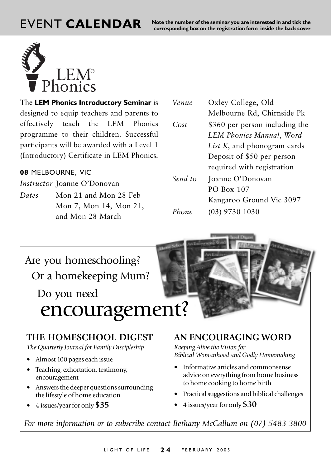EVENT CALENDAR Note the number of the seminar you are interested in and tick the corresponding box on the registration form inside the back cover



The LEM Phonics Introductory Seminar is designed to equip teachers and parents to effectively teach the LEM Phonics programme to their children. Successful participants will be awarded with a Level 1 (Introductory) Certificate in LEM Phonics.

#### $\,$ 08 MELBOURNE, VIC

I*nstructor* Joanne O'Donovan

Dates Mon 21 and Mon 28 Feb Mon 7, Mon 14, Mon 21, and Mon 28 March

Venue Oxley College, Old Melbourne Rd, Chirnside Pk  $Cost$  \$360 per person including the LEM Phonics Manual, Word L*ist K*, and phonogram cards Deposit of \$50 per person required with registration Send to nne O'Donovan PO Box 107 Kangaroo Ground Vic 3097

 $Phone$ one (03) 9730 1030



#### **THE HOMESCHOOL DIGEST**

*The Quarterly Journal for Family Discipleship*

- Almost 100 pages each issue
- Teaching, exhortation, testimony, encouragement
- Answers the deeper questions surrounding the lifestyle of home education
- 4 issues/year for only **\$35**

#### **AN ENCOURAGING WORD**

*Keeping Alive the Vision for Biblical Womanhood and Godly Homemaking*

- Informative articles and commonsense advice on everything from home business to home cooking to home birth
- Practical suggestions and biblical challenges
- 4 issues/year for only **\$30**

*For more information or to subscribe contact Bethany McCallum on (07) 5483 3800*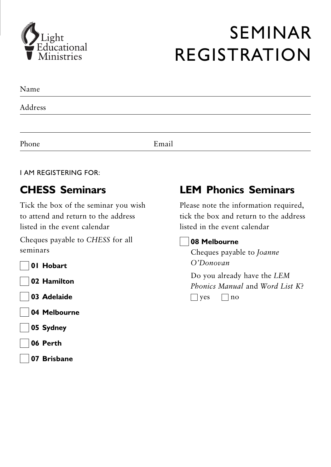

## **SEMINAR REGISTRATION**

| Name    |  |  |  |
|---------|--|--|--|
| Address |  |  |  |
|         |  |  |  |
|         |  |  |  |

Email

#### **I AM REGISTERING FOR:**

Phone

## **CHESS Seminars**

Tick the box of the seminar you wish to attend and return to the address listed in the event calendar

Cheques payable to CHESS for all seminars

01 Hobart

02 Hamilton

- 03 Adelaide
- 04 Melbourne
- 05 Sydney
- 06 Perth
- 07 Brisbane

## **LEM Phonics Seminars**

Please note the information required, tick the box and return to the address listed in the event calendar

#### 08 Melbourne

Cheques payable to Joanne O'Donovan

Do you already have the LEM Phonics Manual and Word List  $K^2$  $\Box$  yes  $\Box$  no